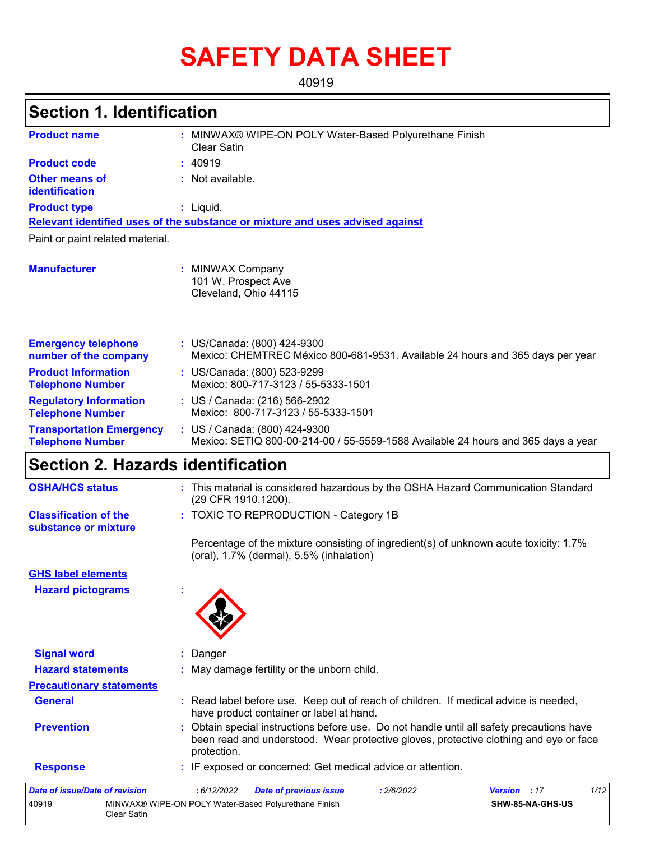# **SAFETY DATA SHEET**

40919

# **Section 1. Identification**

| <b>Product name</b>                                        | MINWAX® WIPE-ON POLY Water-Based Polyurethane Finish<br>Clear Satin                                                |  |  |  |  |
|------------------------------------------------------------|--------------------------------------------------------------------------------------------------------------------|--|--|--|--|
| <b>Product code</b>                                        | : 40919                                                                                                            |  |  |  |  |
| <b>Other means of</b><br>identification                    | $:$ Not available.                                                                                                 |  |  |  |  |
| <b>Product type</b>                                        | $:$ Liquid.                                                                                                        |  |  |  |  |
|                                                            | Relevant identified uses of the substance or mixture and uses advised against                                      |  |  |  |  |
| Paint or paint related material.                           |                                                                                                                    |  |  |  |  |
| <b>Manufacturer</b>                                        | <b>MINWAX Company</b><br>101 W. Prospect Ave<br>Cleveland, Ohio 44115                                              |  |  |  |  |
| <b>Emergency telephone</b><br>number of the company        | : US/Canada: (800) 424-9300<br>Mexico: CHEMTREC México 800-681-9531. Available 24 hours and 365 days per year      |  |  |  |  |
| <b>Product Information</b><br><b>Telephone Number</b>      | : US/Canada: (800) 523-9299<br>Mexico: 800-717-3123 / 55-5333-1501                                                 |  |  |  |  |
| <b>Regulatory Information</b><br><b>Telephone Number</b>   | : US / Canada: (216) 566-2902<br>Mexico: 800-717-3123 / 55-5333-1501                                               |  |  |  |  |
| <b>Transportation Emergency</b><br><b>Telephone Number</b> | : US / Canada: (800) 424-9300<br>Mexico: SETIQ 800-00-214-00 / 55-5559-1588 Available 24 hours and 365 days a year |  |  |  |  |

# **Section 2. Hazards identification**

Clear Satin

| <b>Date of issue/Date of revision</b><br>40919       | 1/12<br>: 6/12/2022<br>Version : 17<br><b>Date of previous issue</b><br>: 2/6/2022<br>MINWAX® WIPE-ON POLY Water-Based Polyurethane Finish<br>SHW-85-NA-GHS-US                                    |
|------------------------------------------------------|---------------------------------------------------------------------------------------------------------------------------------------------------------------------------------------------------|
| <b>Response</b>                                      | : IF exposed or concerned: Get medical advice or attention.                                                                                                                                       |
| <b>Prevention</b>                                    | : Obtain special instructions before use. Do not handle until all safety precautions have<br>been read and understood. Wear protective gloves, protective clothing and eye or face<br>protection. |
| <b>General</b>                                       | : Read label before use. Keep out of reach of children. If medical advice is needed,<br>have product container or label at hand.                                                                  |
| <b>Precautionary statements</b>                      |                                                                                                                                                                                                   |
| <b>Hazard statements</b>                             | : May damage fertility or the unborn child.                                                                                                                                                       |
| <b>Signal word</b>                                   | : Danger                                                                                                                                                                                          |
| <b>Hazard pictograms</b>                             |                                                                                                                                                                                                   |
| <b>GHS label elements</b>                            |                                                                                                                                                                                                   |
|                                                      | Percentage of the mixture consisting of ingredient(s) of unknown acute toxicity: 1.7%<br>(oral), 1.7% (dermal), 5.5% (inhalation)                                                                 |
| <b>Classification of the</b><br>substance or mixture | : TOXIC TO REPRODUCTION - Category 1B                                                                                                                                                             |
| <b>OSHA/HCS status</b>                               | : This material is considered hazardous by the OSHA Hazard Communication Standard<br>(29 CFR 1910.1200).                                                                                          |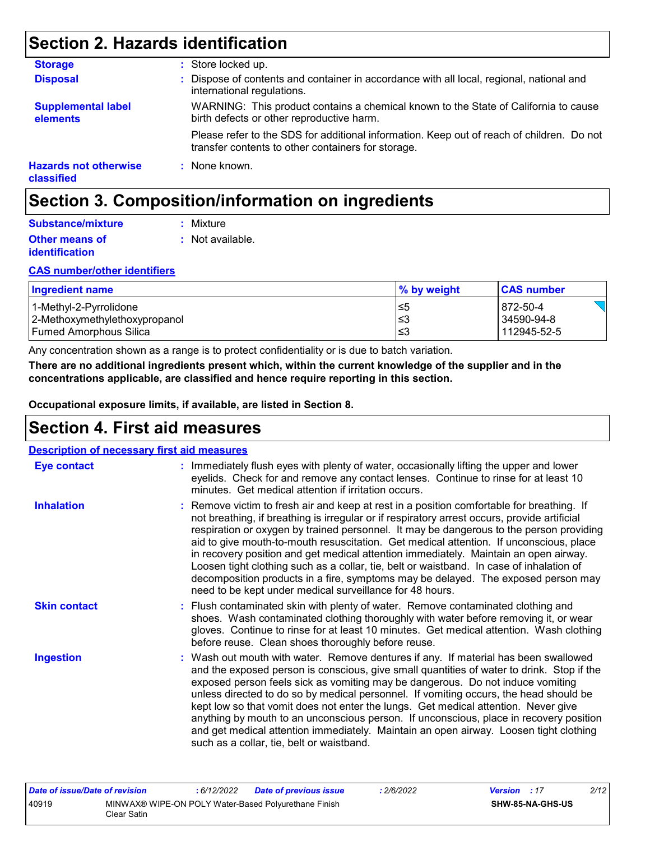# **Section 2. Hazards identification**

| <b>Storage</b>                             | : Store locked up.                                                                                                                              |
|--------------------------------------------|-------------------------------------------------------------------------------------------------------------------------------------------------|
| <b>Disposal</b>                            | : Dispose of contents and container in accordance with all local, regional, national and<br>international regulations.                          |
| <b>Supplemental label</b><br>elements      | WARNING: This product contains a chemical known to the State of California to cause<br>birth defects or other reproductive harm.                |
|                                            | Please refer to the SDS for additional information. Keep out of reach of children. Do not<br>transfer contents to other containers for storage. |
| <b>Hazards not otherwise</b><br>classified | : None known.                                                                                                                                   |

# **Section 3. Composition/information on ingredients**

| Substance/mixture     | : Mixture        |
|-----------------------|------------------|
| <b>Other means of</b> | : Not available. |
| <i>identification</i> |                  |

#### **CAS number/other identifiers**

| <b>Ingredient name</b>        | % by weight | <b>CAS number</b> |
|-------------------------------|-------------|-------------------|
| 1-Methyl-2-Pyrrolidone        | ≤5          | 872-50-4          |
| 2-Methoxymethylethoxypropanol | '≤3         | 34590-94-8        |
| Fumed Amorphous Silica        | '≤3         | 112945-52-5       |

Any concentration shown as a range is to protect confidentiality or is due to batch variation.

**There are no additional ingredients present which, within the current knowledge of the supplier and in the concentrations applicable, are classified and hence require reporting in this section.**

**Occupational exposure limits, if available, are listed in Section 8.**

## **Section 4. First aid measures**

| <b>Description of necessary first aid measures</b> |                                                                                                                                                                                                                                                                                                                                                                                                                                                                                                                                                                                                                                                                                                                     |
|----------------------------------------------------|---------------------------------------------------------------------------------------------------------------------------------------------------------------------------------------------------------------------------------------------------------------------------------------------------------------------------------------------------------------------------------------------------------------------------------------------------------------------------------------------------------------------------------------------------------------------------------------------------------------------------------------------------------------------------------------------------------------------|
| <b>Eye contact</b>                                 | : Immediately flush eyes with plenty of water, occasionally lifting the upper and lower<br>eyelids. Check for and remove any contact lenses. Continue to rinse for at least 10<br>minutes. Get medical attention if irritation occurs.                                                                                                                                                                                                                                                                                                                                                                                                                                                                              |
| <b>Inhalation</b>                                  | : Remove victim to fresh air and keep at rest in a position comfortable for breathing. If<br>not breathing, if breathing is irregular or if respiratory arrest occurs, provide artificial<br>respiration or oxygen by trained personnel. It may be dangerous to the person providing<br>aid to give mouth-to-mouth resuscitation. Get medical attention. If unconscious, place<br>in recovery position and get medical attention immediately. Maintain an open airway.<br>Loosen tight clothing such as a collar, tie, belt or waistband. In case of inhalation of<br>decomposition products in a fire, symptoms may be delayed. The exposed person may<br>need to be kept under medical surveillance for 48 hours. |
| <b>Skin contact</b>                                | : Flush contaminated skin with plenty of water. Remove contaminated clothing and<br>shoes. Wash contaminated clothing thoroughly with water before removing it, or wear<br>gloves. Continue to rinse for at least 10 minutes. Get medical attention. Wash clothing<br>before reuse. Clean shoes thoroughly before reuse.                                                                                                                                                                                                                                                                                                                                                                                            |
| <b>Ingestion</b>                                   | : Wash out mouth with water. Remove dentures if any. If material has been swallowed<br>and the exposed person is conscious, give small quantities of water to drink. Stop if the<br>exposed person feels sick as vomiting may be dangerous. Do not induce vomiting<br>unless directed to do so by medical personnel. If vomiting occurs, the head should be<br>kept low so that vomit does not enter the lungs. Get medical attention. Never give<br>anything by mouth to an unconscious person. If unconscious, place in recovery position<br>and get medical attention immediately. Maintain an open airway. Loosen tight clothing<br>such as a collar, tie, belt or waistband.                                   |

| Date of issue/Date of revision |             | : 6/12/2022 | <b>Date of previous issue</b>                        | 2/6/2022 | <b>Version</b> : 17 |                  | 2/12 |
|--------------------------------|-------------|-------------|------------------------------------------------------|----------|---------------------|------------------|------|
| 40919                          | Clear Satin |             | MINWAX® WIPE-ON POLY Water-Based Polyurethane Finish |          |                     | SHW-85-NA-GHS-US |      |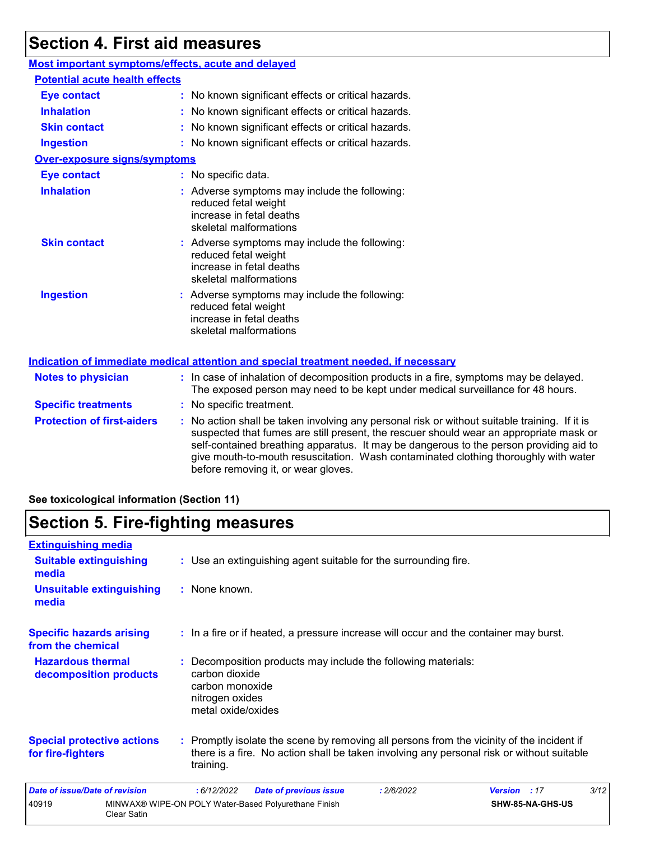## **Section 4. First aid measures**

### **Most important symptoms/effects, acute and delayed**

| <b>Potential acute health effects</b> |                                                                                                                             |
|---------------------------------------|-----------------------------------------------------------------------------------------------------------------------------|
| <b>Eye contact</b>                    | : No known significant effects or critical hazards.                                                                         |
| <b>Inhalation</b>                     | : No known significant effects or critical hazards.                                                                         |
| <b>Skin contact</b>                   | : No known significant effects or critical hazards.                                                                         |
| <b>Ingestion</b>                      | : No known significant effects or critical hazards.                                                                         |
| <b>Over-exposure signs/symptoms</b>   |                                                                                                                             |
| <b>Eye contact</b>                    | : No specific data.                                                                                                         |
| <b>Inhalation</b>                     | : Adverse symptoms may include the following:<br>reduced fetal weight<br>increase in fetal deaths<br>skeletal malformations |
| <b>Skin contact</b>                   | : Adverse symptoms may include the following:<br>reduced fetal weight<br>increase in fetal deaths<br>skeletal malformations |
| <b>Ingestion</b>                      | : Adverse symptoms may include the following:<br>reduced fetal weight<br>increase in fetal deaths<br>skeletal malformations |
|                                       | <u>Indication of immediate medical attention and special treatment needed, if necessary</u>                                 |

| <b>Notes to physician</b>         | : In case of inhalation of decomposition products in a fire, symptoms may be delayed.<br>The exposed person may need to be kept under medical surveillance for 48 hours.                                                                                                                                                                                                                                        |
|-----------------------------------|-----------------------------------------------------------------------------------------------------------------------------------------------------------------------------------------------------------------------------------------------------------------------------------------------------------------------------------------------------------------------------------------------------------------|
| <b>Specific treatments</b>        | : No specific treatment.                                                                                                                                                                                                                                                                                                                                                                                        |
| <b>Protection of first-aiders</b> | : No action shall be taken involving any personal risk or without suitable training. If it is<br>suspected that fumes are still present, the rescuer should wear an appropriate mask or<br>self-contained breathing apparatus. It may be dangerous to the person providing aid to<br>give mouth-to-mouth resuscitation. Wash contaminated clothing thoroughly with water<br>before removing it, or wear gloves. |

### **See toxicological information (Section 11)**

## **Section 5. Fire-fighting measures**

| <b>Extinguishing media</b>                             |                    |                                                                            |                                                                                                                                                                                        |            |                     |                  |      |
|--------------------------------------------------------|--------------------|----------------------------------------------------------------------------|----------------------------------------------------------------------------------------------------------------------------------------------------------------------------------------|------------|---------------------|------------------|------|
| <b>Suitable extinguishing</b><br>media                 |                    |                                                                            | : Use an extinguishing agent suitable for the surrounding fire.                                                                                                                        |            |                     |                  |      |
| <b>Unsuitable extinguishing</b><br>media               |                    | : None known.                                                              |                                                                                                                                                                                        |            |                     |                  |      |
| <b>Specific hazards arising</b><br>from the chemical   |                    |                                                                            | : In a fire or if heated, a pressure increase will occur and the container may burst.                                                                                                  |            |                     |                  |      |
| <b>Hazardous thermal</b><br>decomposition products     |                    | carbon dioxide<br>carbon monoxide<br>nitrogen oxides<br>metal oxide/oxides | : Decomposition products may include the following materials:                                                                                                                          |            |                     |                  |      |
| <b>Special protective actions</b><br>for fire-fighters |                    | training.                                                                  | : Promptly isolate the scene by removing all persons from the vicinity of the incident if<br>there is a fire. No action shall be taken involving any personal risk or without suitable |            |                     |                  |      |
| Date of issue/Date of revision                         |                    | :6/12/2022                                                                 | <b>Date of previous issue</b>                                                                                                                                                          | : 2/6/2022 | <b>Version</b> : 17 |                  | 3/12 |
| 40919                                                  | <b>Clear Satin</b> |                                                                            | MINWAX® WIPE-ON POLY Water-Based Polyurethane Finish                                                                                                                                   |            |                     | SHW-85-NA-GHS-US |      |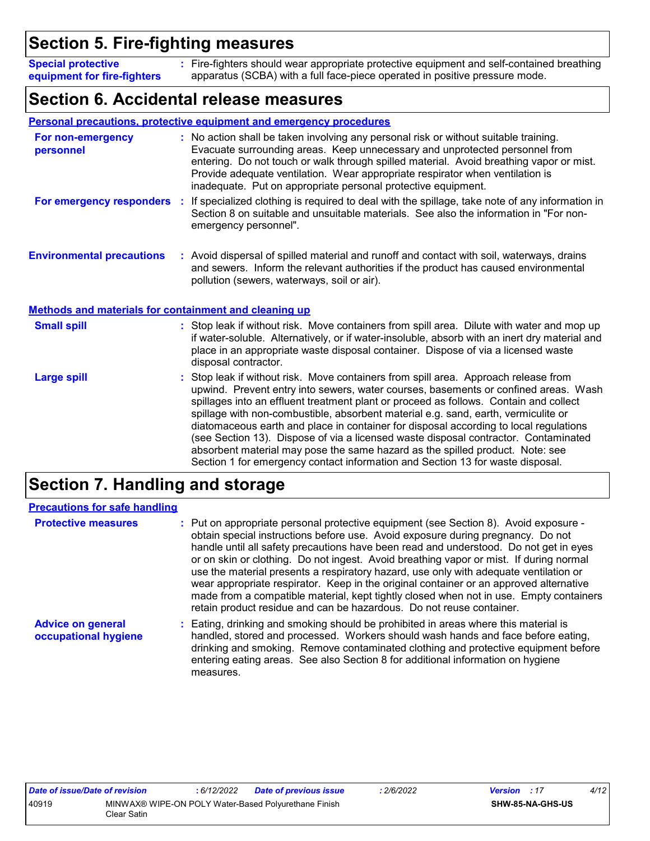# **Section 5. Fire-fighting measures**

Fire-fighters should wear appropriate protective equipment and self-contained breathing **:** apparatus (SCBA) with a full face-piece operated in positive pressure mode. **Special protective equipment for fire-fighters**

## **Section 6. Accidental release measures**

|                                                       | <b>Personal precautions, protective equipment and emergency procedures</b>                                                                                                                                                                                                                                                                                                                                                                                                                                                                                                                                                                                                                                 |
|-------------------------------------------------------|------------------------------------------------------------------------------------------------------------------------------------------------------------------------------------------------------------------------------------------------------------------------------------------------------------------------------------------------------------------------------------------------------------------------------------------------------------------------------------------------------------------------------------------------------------------------------------------------------------------------------------------------------------------------------------------------------------|
| For non-emergency<br>personnel                        | : No action shall be taken involving any personal risk or without suitable training.<br>Evacuate surrounding areas. Keep unnecessary and unprotected personnel from<br>entering. Do not touch or walk through spilled material. Avoid breathing vapor or mist.<br>Provide adequate ventilation. Wear appropriate respirator when ventilation is<br>inadequate. Put on appropriate personal protective equipment.                                                                                                                                                                                                                                                                                           |
| For emergency responders                              | If specialized clothing is required to deal with the spillage, take note of any information in<br>÷.<br>Section 8 on suitable and unsuitable materials. See also the information in "For non-<br>emergency personnel".                                                                                                                                                                                                                                                                                                                                                                                                                                                                                     |
| <b>Environmental precautions</b>                      | : Avoid dispersal of spilled material and runoff and contact with soil, waterways, drains<br>and sewers. Inform the relevant authorities if the product has caused environmental<br>pollution (sewers, waterways, soil or air).                                                                                                                                                                                                                                                                                                                                                                                                                                                                            |
| Methods and materials for containment and cleaning up |                                                                                                                                                                                                                                                                                                                                                                                                                                                                                                                                                                                                                                                                                                            |
| <b>Small spill</b>                                    | : Stop leak if without risk. Move containers from spill area. Dilute with water and mop up<br>if water-soluble. Alternatively, or if water-insoluble, absorb with an inert dry material and<br>place in an appropriate waste disposal container. Dispose of via a licensed waste<br>disposal contractor.                                                                                                                                                                                                                                                                                                                                                                                                   |
| <b>Large spill</b>                                    | Stop leak if without risk. Move containers from spill area. Approach release from<br>upwind. Prevent entry into sewers, water courses, basements or confined areas. Wash<br>spillages into an effluent treatment plant or proceed as follows. Contain and collect<br>spillage with non-combustible, absorbent material e.g. sand, earth, vermiculite or<br>diatomaceous earth and place in container for disposal according to local regulations<br>(see Section 13). Dispose of via a licensed waste disposal contractor. Contaminated<br>absorbent material may pose the same hazard as the spilled product. Note: see<br>Section 1 for emergency contact information and Section 13 for waste disposal. |

# **Section 7. Handling and storage**

| <b>Precautions for safe handling</b>             |                                                                                                                                                                                                                                                                                                                                                                                                                                                                                                                                                                                                                                                                                                                 |
|--------------------------------------------------|-----------------------------------------------------------------------------------------------------------------------------------------------------------------------------------------------------------------------------------------------------------------------------------------------------------------------------------------------------------------------------------------------------------------------------------------------------------------------------------------------------------------------------------------------------------------------------------------------------------------------------------------------------------------------------------------------------------------|
| <b>Protective measures</b>                       | : Put on appropriate personal protective equipment (see Section 8). Avoid exposure -<br>obtain special instructions before use. Avoid exposure during pregnancy. Do not<br>handle until all safety precautions have been read and understood. Do not get in eyes<br>or on skin or clothing. Do not ingest. Avoid breathing vapor or mist. If during normal<br>use the material presents a respiratory hazard, use only with adequate ventilation or<br>wear appropriate respirator. Keep in the original container or an approved alternative<br>made from a compatible material, kept tightly closed when not in use. Empty containers<br>retain product residue and can be hazardous. Do not reuse container. |
| <b>Advice on general</b><br>occupational hygiene | : Eating, drinking and smoking should be prohibited in areas where this material is<br>handled, stored and processed. Workers should wash hands and face before eating,<br>drinking and smoking. Remove contaminated clothing and protective equipment before<br>entering eating areas. See also Section 8 for additional information on hygiene<br>measures.                                                                                                                                                                                                                                                                                                                                                   |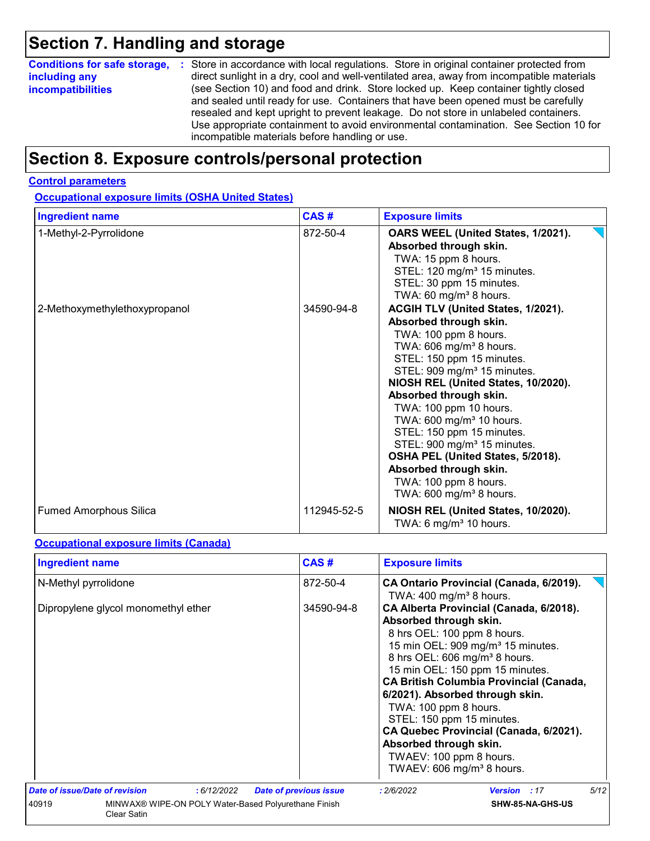# **Section 7. Handling and storage**

|                          | <b>Conditions for safe storage, :</b> Store in accordance with local regulations. Store in original container protected from                                                                                                                                                                                                                                                                               |
|--------------------------|------------------------------------------------------------------------------------------------------------------------------------------------------------------------------------------------------------------------------------------------------------------------------------------------------------------------------------------------------------------------------------------------------------|
| including any            | direct sunlight in a dry, cool and well-ventilated area, away from incompatible materials                                                                                                                                                                                                                                                                                                                  |
| <b>incompatibilities</b> | (see Section 10) and food and drink. Store locked up. Keep container tightly closed<br>and sealed until ready for use. Containers that have been opened must be carefully<br>resealed and kept upright to prevent leakage. Do not store in unlabeled containers.<br>Use appropriate containment to avoid environmental contamination. See Section 10 for<br>incompatible materials before handling or use. |

# **Section 8. Exposure controls/personal protection**

#### **Control parameters**

**Occupational exposure limits (OSHA United States)**

| <b>Ingredient name</b>        | CAS#        | <b>Exposure limits</b>                                                                                                                                                                                                                                                                                                                                                                                                                                                                                                                         |  |  |
|-------------------------------|-------------|------------------------------------------------------------------------------------------------------------------------------------------------------------------------------------------------------------------------------------------------------------------------------------------------------------------------------------------------------------------------------------------------------------------------------------------------------------------------------------------------------------------------------------------------|--|--|
| 1-Methyl-2-Pyrrolidone        | 872-50-4    | OARS WEEL (United States, 1/2021).<br>Absorbed through skin.<br>TWA: 15 ppm 8 hours.<br>STEL: 120 mg/m <sup>3</sup> 15 minutes.<br>STEL: 30 ppm 15 minutes.<br>TWA: 60 mg/m <sup>3</sup> 8 hours.                                                                                                                                                                                                                                                                                                                                              |  |  |
| 2-Methoxymethylethoxypropanol | 34590-94-8  | ACGIH TLV (United States, 1/2021).<br>Absorbed through skin.<br>TWA: 100 ppm 8 hours.<br>TWA: 606 mg/m <sup>3</sup> 8 hours.<br>STEL: 150 ppm 15 minutes.<br>STEL: 909 mg/m <sup>3</sup> 15 minutes.<br>NIOSH REL (United States, 10/2020).<br>Absorbed through skin.<br>TWA: 100 ppm 10 hours.<br>TWA: 600 mg/m <sup>3</sup> 10 hours.<br>STEL: 150 ppm 15 minutes.<br>STEL: 900 mg/m <sup>3</sup> 15 minutes.<br>OSHA PEL (United States, 5/2018).<br>Absorbed through skin.<br>TWA: 100 ppm 8 hours.<br>TWA: 600 mg/m <sup>3</sup> 8 hours. |  |  |
| <b>Fumed Amorphous Silica</b> | 112945-52-5 | NIOSH REL (United States, 10/2020).<br>TWA: 6 mg/m <sup>3</sup> 10 hours.                                                                                                                                                                                                                                                                                                                                                                                                                                                                      |  |  |

#### **Occupational exposure limits (Canada)**

| <b>Ingredient name</b>                        | CAS#                                                 | <b>Exposure limits</b>                                                                                                                                                                                                                                                                                                                                                                                                                                                                                               |
|-----------------------------------------------|------------------------------------------------------|----------------------------------------------------------------------------------------------------------------------------------------------------------------------------------------------------------------------------------------------------------------------------------------------------------------------------------------------------------------------------------------------------------------------------------------------------------------------------------------------------------------------|
| N-Methyl pyrrolidone                          | 872-50-4                                             | CA Ontario Provincial (Canada, 6/2019).<br>TWA: $400 \text{ mg/m}^3$ 8 hours.                                                                                                                                                                                                                                                                                                                                                                                                                                        |
| Dipropylene glycol monomethyl ether           | 34590-94-8                                           | CA Alberta Provincial (Canada, 6/2018).<br>Absorbed through skin.<br>8 hrs OEL: 100 ppm 8 hours.<br>15 min OEL: 909 mg/m <sup>3</sup> 15 minutes.<br>8 hrs OEL: 606 mg/m <sup>3</sup> 8 hours.<br>15 min OEL: 150 ppm 15 minutes.<br><b>CA British Columbia Provincial (Canada,</b><br>6/2021). Absorbed through skin.<br>TWA: 100 ppm 8 hours.<br>STEL: 150 ppm 15 minutes.<br>CA Quebec Provincial (Canada, 6/2021).<br>Absorbed through skin.<br>TWAEV: 100 ppm 8 hours.<br>TWAEV: 606 mg/m <sup>3</sup> 8 hours. |
| Date of issue/Date of revision<br>: 6/12/2022 | <b>Date of previous issue</b>                        | 5/12<br>: 2/6/2022<br><b>Version</b> : 17                                                                                                                                                                                                                                                                                                                                                                                                                                                                            |
| 40919<br>Clear Satin                          | MINWAX® WIPE-ON POLY Water-Based Polyurethane Finish | SHW-85-NA-GHS-US                                                                                                                                                                                                                                                                                                                                                                                                                                                                                                     |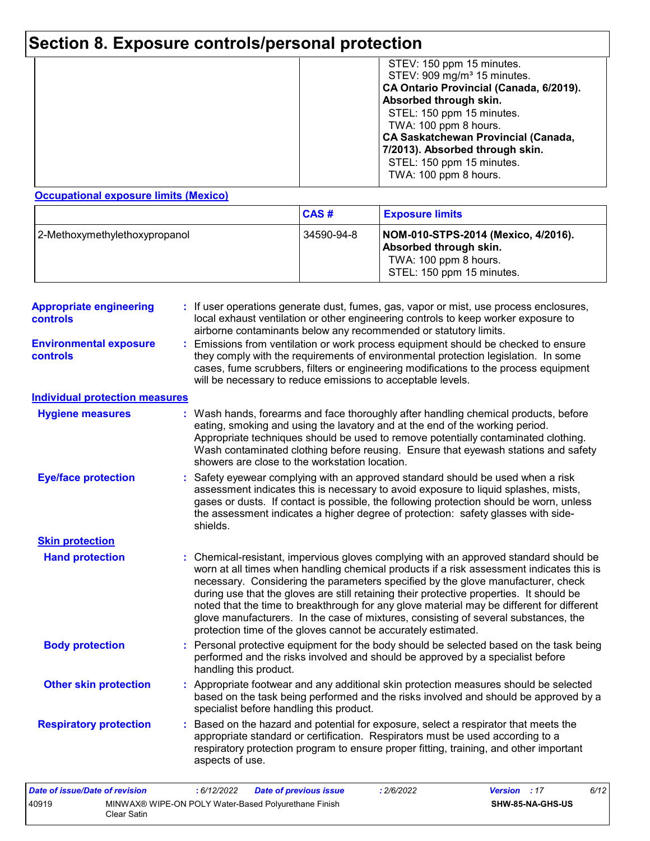# **Section 8. Exposure controls/personal protection**

|  | STEV: 150 ppm 15 minutes.<br>STEV: 909 mg/m <sup>3</sup> 15 minutes.<br>CA Ontario Provincial (Canada, 6/2019).<br>Absorbed through skin.<br>STEL: 150 ppm 15 minutes.<br>TWA: 100 ppm 8 hours.<br><b>CA Saskatchewan Provincial (Canada,</b><br>7/2013). Absorbed through skin.<br>STEL: 150 ppm 15 minutes.<br>TWA: 100 ppm 8 hours. |
|--|----------------------------------------------------------------------------------------------------------------------------------------------------------------------------------------------------------------------------------------------------------------------------------------------------------------------------------------|
|--|----------------------------------------------------------------------------------------------------------------------------------------------------------------------------------------------------------------------------------------------------------------------------------------------------------------------------------------|

#### **Occupational exposure limits (Mexico)**

Clear Satin

|                               | <b>CAS#</b> | <b>Exposure limits</b>                                                                                              |
|-------------------------------|-------------|---------------------------------------------------------------------------------------------------------------------|
| 2-Methoxymethylethoxypropanol | 34590-94-8  | NOM-010-STPS-2014 (Mexico, 4/2016).<br>Absorbed through skin.<br>TWA: 100 ppm 8 hours.<br>STEL: 150 ppm 15 minutes. |

| <b>Appropriate engineering</b><br>controls | : If user operations generate dust, fumes, gas, vapor or mist, use process enclosures,<br>local exhaust ventilation or other engineering controls to keep worker exposure to<br>airborne contaminants below any recommended or statutory limits.                                                                                                                                                                                                                                                                                                                                                                       |
|--------------------------------------------|------------------------------------------------------------------------------------------------------------------------------------------------------------------------------------------------------------------------------------------------------------------------------------------------------------------------------------------------------------------------------------------------------------------------------------------------------------------------------------------------------------------------------------------------------------------------------------------------------------------------|
| <b>Environmental exposure</b><br>controls  | : Emissions from ventilation or work process equipment should be checked to ensure<br>they comply with the requirements of environmental protection legislation. In some<br>cases, fume scrubbers, filters or engineering modifications to the process equipment<br>will be necessary to reduce emissions to acceptable levels.                                                                                                                                                                                                                                                                                        |
| <b>Individual protection measures</b>      |                                                                                                                                                                                                                                                                                                                                                                                                                                                                                                                                                                                                                        |
| <b>Hygiene measures</b>                    | : Wash hands, forearms and face thoroughly after handling chemical products, before<br>eating, smoking and using the lavatory and at the end of the working period.<br>Appropriate techniques should be used to remove potentially contaminated clothing.<br>Wash contaminated clothing before reusing. Ensure that eyewash stations and safety<br>showers are close to the workstation location.                                                                                                                                                                                                                      |
| <b>Eye/face protection</b>                 | : Safety eyewear complying with an approved standard should be used when a risk<br>assessment indicates this is necessary to avoid exposure to liquid splashes, mists,<br>gases or dusts. If contact is possible, the following protection should be worn, unless<br>the assessment indicates a higher degree of protection: safety glasses with side-<br>shields.                                                                                                                                                                                                                                                     |
| <b>Skin protection</b>                     |                                                                                                                                                                                                                                                                                                                                                                                                                                                                                                                                                                                                                        |
| <b>Hand protection</b>                     | : Chemical-resistant, impervious gloves complying with an approved standard should be<br>worn at all times when handling chemical products if a risk assessment indicates this is<br>necessary. Considering the parameters specified by the glove manufacturer, check<br>during use that the gloves are still retaining their protective properties. It should be<br>noted that the time to breakthrough for any glove material may be different for different<br>glove manufacturers. In the case of mixtures, consisting of several substances, the<br>protection time of the gloves cannot be accurately estimated. |
| <b>Body protection</b>                     | : Personal protective equipment for the body should be selected based on the task being<br>performed and the risks involved and should be approved by a specialist before<br>handling this product.                                                                                                                                                                                                                                                                                                                                                                                                                    |
| <b>Other skin protection</b>               | : Appropriate footwear and any additional skin protection measures should be selected<br>based on the task being performed and the risks involved and should be approved by a<br>specialist before handling this product.                                                                                                                                                                                                                                                                                                                                                                                              |
| <b>Respiratory protection</b>              | : Based on the hazard and potential for exposure, select a respirator that meets the<br>appropriate standard or certification. Respirators must be used according to a<br>respiratory protection program to ensure proper fitting, training, and other important<br>aspects of use.                                                                                                                                                                                                                                                                                                                                    |
| <b>Date of issue/Date of revision</b>      | : 6/12/2022<br>: 2/6/2022<br>Version : 17<br>6/12<br><b>Date of previous issue</b>                                                                                                                                                                                                                                                                                                                                                                                                                                                                                                                                     |
| 40919                                      | MINWAX® WIPE-ON POLY Water-Based Polyurethane Finish<br>SHW-85-NA-GHS-US                                                                                                                                                                                                                                                                                                                                                                                                                                                                                                                                               |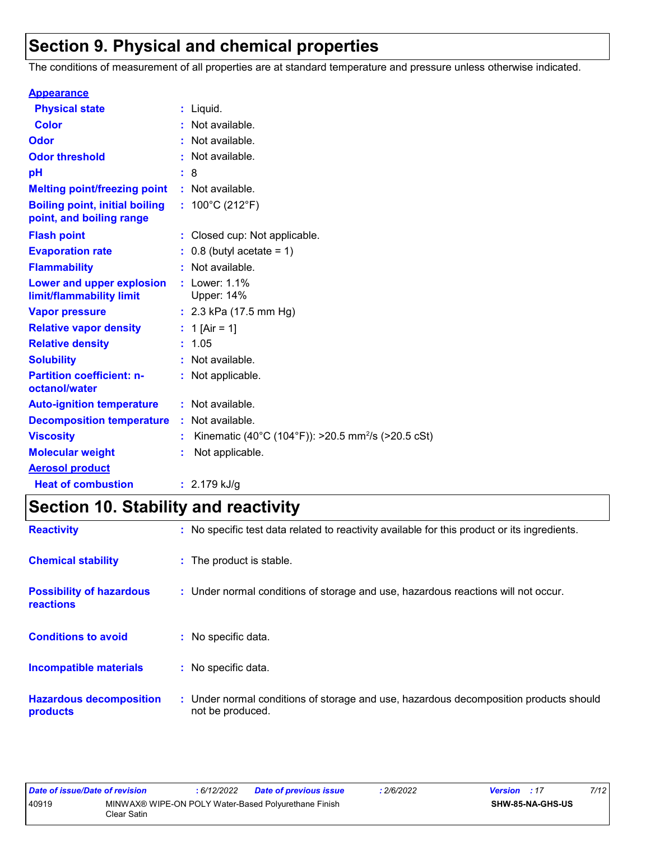# **Section 9. Physical and chemical properties**

The conditions of measurement of all properties are at standard temperature and pressure unless otherwise indicated.

| <b>Appearance</b>                                                 |                                                                |
|-------------------------------------------------------------------|----------------------------------------------------------------|
| <b>Physical state</b>                                             | $:$ Liquid.                                                    |
| <b>Color</b>                                                      | : Not available.                                               |
| Odor                                                              | : Not available.                                               |
| <b>Odor threshold</b>                                             | : Not available.                                               |
| рH                                                                | : 8                                                            |
| <b>Melting point/freezing point</b>                               | : Not available.                                               |
| <b>Boiling point, initial boiling</b><br>point, and boiling range | : $100^{\circ}$ C (212 $^{\circ}$ F)                           |
| <b>Flash point</b>                                                | : Closed cup: Not applicable.                                  |
| <b>Evaporation rate</b>                                           | $: 0.8$ (butyl acetate = 1)                                    |
| <b>Flammability</b>                                               | : Not available.                                               |
| Lower and upper explosion<br>limit/flammability limit             | : Lower: $1.1\%$<br><b>Upper: 14%</b>                          |
| <b>Vapor pressure</b>                                             | : $2.3$ kPa (17.5 mm Hg)                                       |
| <b>Relative vapor density</b>                                     | : 1 [Air = 1]                                                  |
| <b>Relative density</b>                                           | : 1.05                                                         |
| <b>Solubility</b>                                                 | : Not available.                                               |
| <b>Partition coefficient: n-</b><br>octanol/water                 | : Not applicable.                                              |
| <b>Auto-ignition temperature</b>                                  | : Not available.                                               |
| <b>Decomposition temperature</b>                                  | : Not available.                                               |
| <b>Viscosity</b>                                                  | Kinematic (40°C (104°F)): >20.5 mm <sup>2</sup> /s (>20.5 cSt) |
| <b>Molecular weight</b>                                           | Not applicable.                                                |
| <b>Aerosol product</b>                                            |                                                                |
| <b>Heat of combustion</b>                                         | $: 2.179$ kJ/g                                                 |

# **Section 10. Stability and reactivity**

| <b>Reactivity</b>                            | : No specific test data related to reactivity available for this product or its ingredients.              |
|----------------------------------------------|-----------------------------------------------------------------------------------------------------------|
| <b>Chemical stability</b>                    | : The product is stable.                                                                                  |
| <b>Possibility of hazardous</b><br>reactions | : Under normal conditions of storage and use, hazardous reactions will not occur.                         |
| <b>Conditions to avoid</b>                   | : No specific data.                                                                                       |
| <b>Incompatible materials</b>                | : No specific data.                                                                                       |
| <b>Hazardous decomposition</b><br>products   | : Under normal conditions of storage and use, hazardous decomposition products should<br>not be produced. |

| Date of issue/Date of revision |             | : 6/12/2022 | Date of previous issue                               | '2/6/2022 | <b>Version</b> : 17 |                         | 7/12 |
|--------------------------------|-------------|-------------|------------------------------------------------------|-----------|---------------------|-------------------------|------|
| 40919                          | Clear Satin |             | MINWAX® WIPE-ON POLY Water-Based Polyurethane Finish |           |                     | <b>SHW-85-NA-GHS-US</b> |      |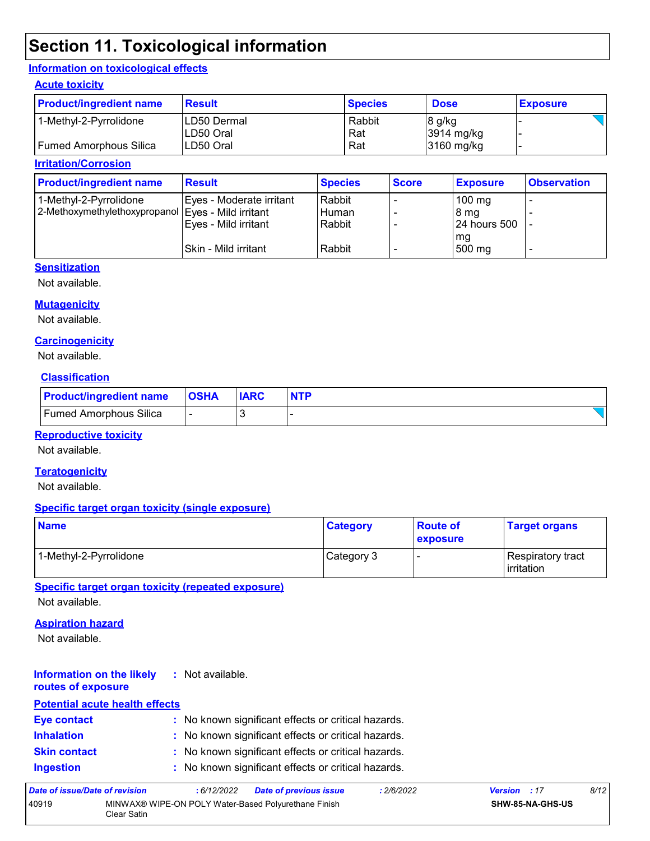# **Section 11. Toxicological information**

#### **Information on toxicological effects**

#### **Acute toxicity**

| <b>Product/ingredient name</b> | <b>Result</b> | <b>Species</b> | <b>Dose</b>          | <b>Exposure</b> |
|--------------------------------|---------------|----------------|----------------------|-----------------|
| 1-Methyl-2-Pyrrolidone         | ILD50 Dermal  | Rabbit         | 8 g/kg               |                 |
|                                | ILD50 Oral    | Rat            | $3914 \text{ mg/kg}$ |                 |
| Fumed Amorphous Silica         | ILD50 Oral    | Rat            | 3160 mg/kg           |                 |

#### **Irritation/Corrosion**

| <b>Product/ingredient name</b>                     | <b>Result</b>            | <b>Species</b> | <b>Score</b> | <b>Exposure</b>  | <b>Observation</b> |
|----------------------------------------------------|--------------------------|----------------|--------------|------------------|--------------------|
| 1-Methyl-2-Pyrrolidone                             | Eyes - Moderate irritant | Rabbit         |              | $100 \text{ mg}$ |                    |
| 2-Methoxymethylethoxypropanol Eyes - Mild irritant |                          | Human          |              | 8 mg             |                    |
|                                                    | Eyes - Mild irritant     | Rabbit         |              | 124 hours 500    |                    |
|                                                    |                          |                |              | mg               |                    |
|                                                    | ISkin - Mild irritant    | Rabbit         |              | 500 mg           | -                  |

#### **Sensitization**

Not available.

#### **Mutagenicity**

Not available.

#### **Carcinogenicity**

Not available.

#### **Classification**

| <b>Product/ingredient name</b> | <b>OSHA</b> | <b>IARC</b> |  |
|--------------------------------|-------------|-------------|--|
| <b>Fumed Amorphous Silica</b>  |             |             |  |

#### **Reproductive toxicity**

Not available.

#### **Teratogenicity**

Not available.

#### **Specific target organ toxicity (single exposure)**

| <b>Name</b>            | <b>Category</b> | <b>Route of</b><br><b>exposure</b> | <b>Target organs</b>                     |
|------------------------|-----------------|------------------------------------|------------------------------------------|
| 1-Methyl-2-Pyrrolidone | Category 3      |                                    | Respiratory tract<br><b>l</b> irritation |

**Specific target organ toxicity (repeated exposure)**

Not available.

#### **Aspiration hazard**

Not available.

#### **Information on the likely routes of exposure :** Not available.

### **Inhalation :** No known significant effects or critical hazards. **Ingestion :** No known significant effects or critical hazards. **Skin contact :** No known significant effects or critical hazards. **Eye contact :** No known significant effects or critical hazards. **Potential acute health effects**

| Date of issue/Date of revision |             | : 6/12/2022 | <b>Date of previous issue</b>                        | 2/6/2022 | <b>Version</b> : 17 |                         | 8/12 |
|--------------------------------|-------------|-------------|------------------------------------------------------|----------|---------------------|-------------------------|------|
| 40919                          | Clear Satin |             | MINWAX® WIPE-ON POLY Water-Based Polyurethane Finish |          |                     | <b>SHW-85-NA-GHS-US</b> |      |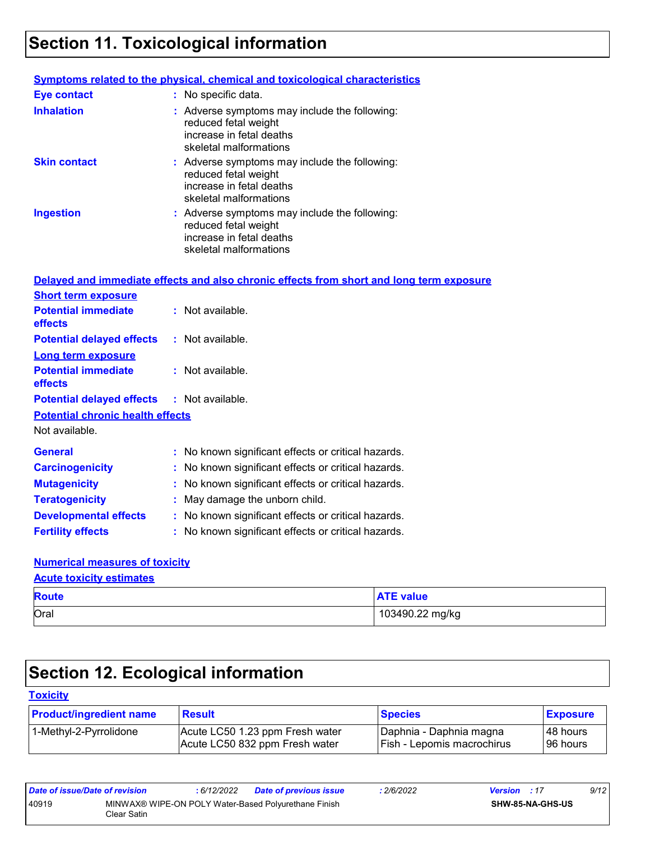# **Section 11. Toxicological information**

|                     | <b>Symptoms related to the physical, chemical and toxicological characteristics</b>                                         |
|---------------------|-----------------------------------------------------------------------------------------------------------------------------|
| <b>Eye contact</b>  | : No specific data.                                                                                                         |
| <b>Inhalation</b>   | : Adverse symptoms may include the following:<br>reduced fetal weight<br>increase in fetal deaths<br>skeletal malformations |
| <b>Skin contact</b> | : Adverse symptoms may include the following:<br>reduced fetal weight<br>increase in fetal deaths<br>skeletal malformations |
| <b>Ingestion</b>    | : Adverse symptoms may include the following:<br>reduced fetal weight<br>increase in fetal deaths<br>skeletal malformations |

|                                                   | Delayed and immediate effects and also chronic effects from short and long term exposure |
|---------------------------------------------------|------------------------------------------------------------------------------------------|
| <b>Short term exposure</b>                        |                                                                                          |
| <b>Potential immediate</b><br>effects             | : Not available.                                                                         |
| <b>Potential delayed effects</b>                  | : Not available.                                                                         |
| <b>Long term exposure</b>                         |                                                                                          |
| <b>Potential immediate</b><br><b>effects</b>      | : Not available.                                                                         |
| <b>Potential delayed effects : Not available.</b> |                                                                                          |
| <b>Potential chronic health effects</b>           |                                                                                          |
| Not available.                                    |                                                                                          |
|                                                   |                                                                                          |
| <b>General</b>                                    | : No known significant effects or critical hazards.                                      |
| <b>Carcinogenicity</b>                            | : No known significant effects or critical hazards.                                      |
| <b>Mutagenicity</b>                               | : No known significant effects or critical hazards.                                      |
| <b>Teratogenicity</b>                             | : May damage the unborn child.                                                           |
| <b>Developmental effects</b>                      | : No known significant effects or critical hazards.                                      |

### **Numerical measures of toxicity**

|--|

| <b>Route</b> | <b>ATE value</b> |
|--------------|------------------|
| Oral         | 103490.22 mg/kg  |

# **Section 12. Ecological information**

### **Toxicity**

| <b>Product/ingredient name</b> | <b>Result</b>                   | <b>Species</b>               | <b>Exposure</b> |
|--------------------------------|---------------------------------|------------------------------|-----------------|
| 1-Methyl-2-Pyrrolidone         | Acute LC50 1.23 ppm Fresh water | I Daphnia - Daphnia magna    | I48 hours       |
|                                | Acute LC50 832 ppm Fresh water  | I Fish - Lepomis macrochirus | 96 hours        |

| Date of issue/Date of revision |                                                                     | : 6/12/2022 | <b>Date of previous issue</b> | 2/6/2022 | <b>Version</b> : 17 |                         | 9/12 |
|--------------------------------|---------------------------------------------------------------------|-------------|-------------------------------|----------|---------------------|-------------------------|------|
| 40919                          | MINWAX® WIPE-ON POLY Water-Based Polyurethane Finish<br>Clear Satin |             |                               |          |                     | <b>SHW-85-NA-GHS-US</b> |      |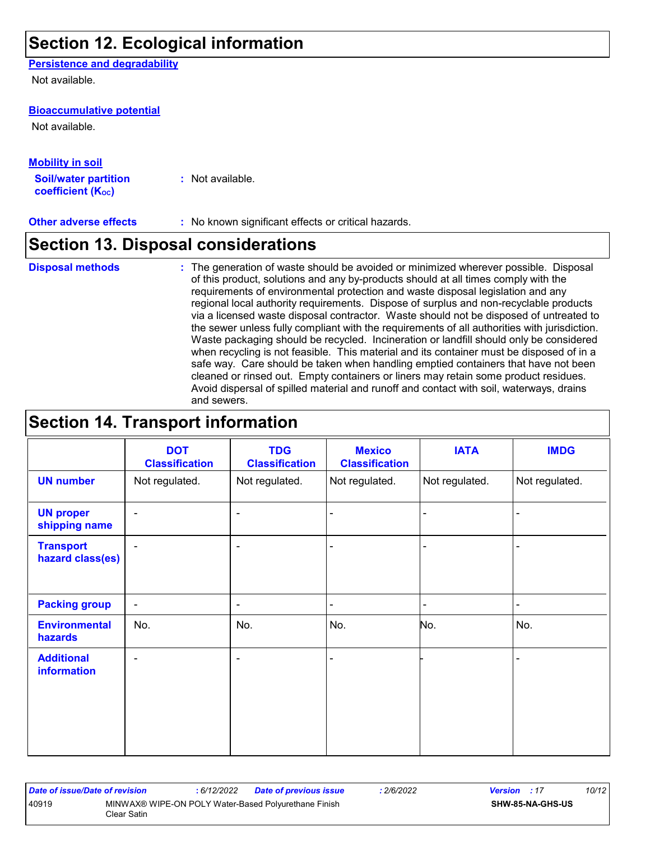## **Section 12. Ecological information**

#### **Persistence and degradability**

Not available.

#### **Bioaccumulative potential**

Not available.

#### **Mobility in soil**

**Soil/water partition coefficient (KOC) :** Not available.

**Other adverse effects** : No known significant effects or critical hazards.

## **Section 13. Disposal considerations**

### **Disposal methods :**

The generation of waste should be avoided or minimized wherever possible. Disposal of this product, solutions and any by-products should at all times comply with the requirements of environmental protection and waste disposal legislation and any regional local authority requirements. Dispose of surplus and non-recyclable products via a licensed waste disposal contractor. Waste should not be disposed of untreated to the sewer unless fully compliant with the requirements of all authorities with jurisdiction. Waste packaging should be recycled. Incineration or landfill should only be considered when recycling is not feasible. This material and its container must be disposed of in a safe way. Care should be taken when handling emptied containers that have not been cleaned or rinsed out. Empty containers or liners may retain some product residues. Avoid dispersal of spilled material and runoff and contact with soil, waterways, drains and sewers.

## **Section 14. Transport information**

|                                         | <b>DOT</b><br><b>Classification</b> | <b>TDG</b><br><b>Classification</b> | <b>Mexico</b><br><b>Classification</b> | <b>IATA</b>    | <b>IMDG</b>    |
|-----------------------------------------|-------------------------------------|-------------------------------------|----------------------------------------|----------------|----------------|
| <b>UN number</b>                        | Not regulated.                      | Not regulated.                      | Not regulated.                         | Not regulated. | Not regulated. |
| <b>UN proper</b><br>shipping name       | $\blacksquare$                      | $\blacksquare$                      | ÷                                      |                |                |
| <b>Transport</b><br>hazard class(es)    | $\blacksquare$                      | $\overline{\phantom{a}}$            | ۰                                      |                |                |
| <b>Packing group</b>                    | $\overline{\phantom{a}}$            | $\blacksquare$                      | $\blacksquare$                         |                | $\blacksquare$ |
| <b>Environmental</b><br>hazards         | No.                                 | No.                                 | No.                                    | No.            | No.            |
| <b>Additional</b><br><b>information</b> | $\blacksquare$                      | $\blacksquare$                      |                                        |                | $\blacksquare$ |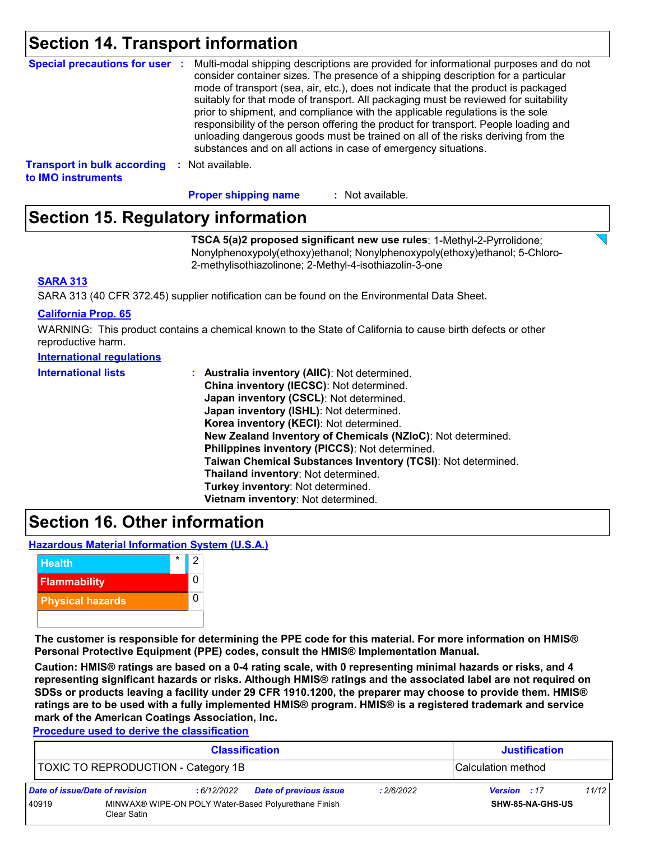## **Section 14. Transport information**

| Special precautions for user :                           | Multi-modal shipping descriptions are provided for informational purposes and do not<br>consider container sizes. The presence of a shipping description for a particular<br>mode of transport (sea, air, etc.), does not indicate that the product is packaged<br>suitably for that mode of transport. All packaging must be reviewed for suitability<br>prior to shipment, and compliance with the applicable regulations is the sole<br>responsibility of the person offering the product for transport. People loading and<br>unloading dangerous goods must be trained on all of the risks deriving from the<br>substances and on all actions in case of emergency situations. |
|----------------------------------------------------------|-------------------------------------------------------------------------------------------------------------------------------------------------------------------------------------------------------------------------------------------------------------------------------------------------------------------------------------------------------------------------------------------------------------------------------------------------------------------------------------------------------------------------------------------------------------------------------------------------------------------------------------------------------------------------------------|
| <b>Transport in bulk according</b><br>to IMO instruments | : Not available.                                                                                                                                                                                                                                                                                                                                                                                                                                                                                                                                                                                                                                                                    |

**Proper shipping name :**

: Not available.

# **Section 15. Regulatory information**

**TSCA 5(a)2 proposed significant new use rules**: 1-Methyl-2-Pyrrolidone; Nonylphenoxypoly(ethoxy)ethanol; Nonylphenoxypoly(ethoxy)ethanol; 5-Chloro-2-methylisothiazolinone; 2-Methyl-4-isothiazolin-3-one

#### **SARA 313**

SARA 313 (40 CFR 372.45) supplier notification can be found on the Environmental Data Sheet.

#### **California Prop. 65**

WARNING: This product contains a chemical known to the State of California to cause birth defects or other reproductive harm.

#### **International regulations**

| <b>International lists</b> | Australia inventory (AllC): Not determined.                  |
|----------------------------|--------------------------------------------------------------|
|                            | China inventory (IECSC): Not determined.                     |
|                            | Japan inventory (CSCL): Not determined.                      |
|                            | Japan inventory (ISHL): Not determined.                      |
|                            | Korea inventory (KECI): Not determined.                      |
|                            | New Zealand Inventory of Chemicals (NZIoC): Not determined.  |
|                            | Philippines inventory (PICCS): Not determined.               |
|                            | Taiwan Chemical Substances Inventory (TCSI): Not determined. |
|                            | Thailand inventory: Not determined.                          |
|                            | Turkey inventory: Not determined.                            |
|                            | Vietnam inventory: Not determined.                           |

## **Section 16. Other information**

**Hazardous Material Information System (U.S.A.)**



**The customer is responsible for determining the PPE code for this material. For more information on HMIS® Personal Protective Equipment (PPE) codes, consult the HMIS® Implementation Manual.**

**Caution: HMIS® ratings are based on a 0-4 rating scale, with 0 representing minimal hazards or risks, and 4 representing significant hazards or risks. Although HMIS® ratings and the associated label are not required on SDSs or products leaving a facility under 29 CFR 1910.1200, the preparer may choose to provide them. HMIS® ratings are to be used with a fully implemented HMIS® program. HMIS® is a registered trademark and service mark of the American Coatings Association, Inc.**

**Procedure used to derive the classification**

| <b>Classification</b>          |                                            |             |                                                      |            | <b>Justification</b> |       |
|--------------------------------|--------------------------------------------|-------------|------------------------------------------------------|------------|----------------------|-------|
|                                | <b>TOXIC TO REPRODUCTION - Category 1B</b> |             |                                                      |            | Calculation method   |       |
| Date of issue/Date of revision |                                            | : 6/12/2022 | Date of previous issue                               | : 2/6/2022 | Version : 17         | 11/12 |
| 40919                          | Clear Satin                                |             | MINWAX® WIPE-ON POLY Water-Based Polyurethane Finish |            | SHW-85-NA-GHS-US     |       |